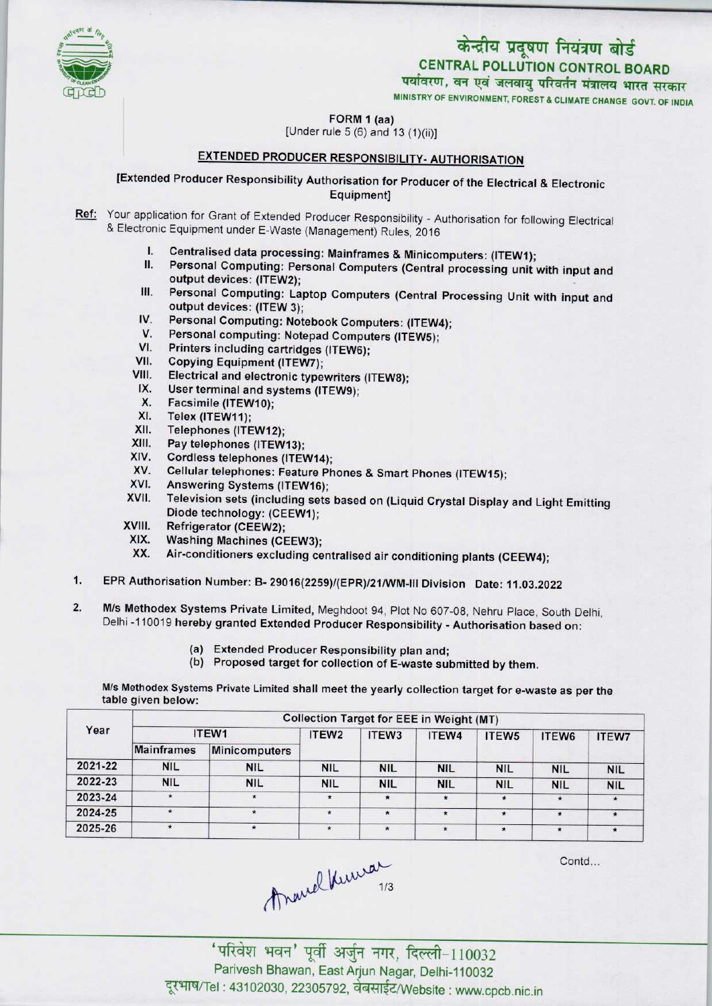

# केन्द्रीय प्रदूषण नियंत्रण बोर्ड CENTRAL POLLUTION CONTROL BOARD<br>पर्यावरण, वन एवं जलवायु परिवर्तन मंत्रालय भारत सरकार

MINISTRY OF ENVIRONMENT, FOREST S CLIMATE CHANGE GOVT. OF INDIA

FORM 1 (aa)

[Under rule 5 (6) and 13 (1)(ii)]

## EXTENDED PRODUCER RESPONSIBILITY- AUTHORISATION

F<br>I Under rul<br>EXTENDED PRODUCER F<br>Extended Producer Responsibility Author<br>E [Extended Producer Responsibility Authorisation for Producer of the Electrical & Electronic Equipment]

- Ref: Your application for Grant of Extended Producer Responsibility Authorisation for following Electrical & Electronic Equipment under E-Waste (Management) Rules, 2016
	- I. Centralised data processing: Mainframes & Minicomputers: (ITEW1);<br>II. Personal Computing: Personal Computers (Central processing unit)
	- Personal Computing: Personal Computers (Central processing unit with input and output devices: (ITEW2);
	- III. Personal Computing: Laptop Computers (Central Processing Unit with input and output devices: (ITEW 3); IV. Personal Computing: Laptop Computers (Central Picture<br>IV. Personal Computing: Notebook Computers: (ITEW4);<br>V. Personal computing: Notebook Computers: (ITEW4);
	- V. Personal Computing: Notebook Computers: (ITEW<br>V. Personal computing: Notebook Computers (ITEW5);<br>(International computing: International Computers (ITEW5);
	- V. Personal Computing: Notebook Computers: (ITEW-<br>V. Personal computing: Notepad Computers (ITEW5);<br>VI. Printers including cartridges (ITEW6);<br>VII. Copying Equipment (ITEW7):
	-
	- VII. Copying Equipment (ITEW7);<br>VIII. Electrical and electronic type
	- VII. Copying Equipment (ITEW7);<br>VIII. Electrical and electronic typewriters (ITEW8);<br>IX. User terminal and systems (ITEW9);<br>Y. Esseimile (ITEW40).
	- IX. User terminal and systems (ITEW9);<br>X. Facsimile (ITEW10);<br>XI. Telex (ITEW11);
	-
	- XI. Telex (ITEW11);<br>XII. Telephones (ITE
	- X. Facsimile (ITEW10);<br>XI. Telex (ITEW11);<br>XII. Telephones (ITEW12);<br>XIII. Pay telephones (ITEW
	- XI. Telex (ITEW11);<br>XII. Telephones (ITEW12);<br>XIII. Pay telephones (ITEW13);<br>XIV. Cordless telephones (ITE
	- XIII. Pay telephones (ITEW13);<br>XIV. Cordless telephones (ITEW14);<br>XV. Cellular telephones: Feature Ph
	- XIV. Collular telephones: Feature Phones & Smart Phones (ITEW15);<br>XVI. Answering Systems (ITEW16);<br>XVII. Television of the United Second of Chinaid Open La Diversion
	-
	- XVI. Answering Systems (ITEW16);<br>XVII. Television sets (including sets based on (Liquid Crystal Display and Light Emitting Diode technology: (CEEW1);
	- XVIII. Refrigerator (CEEW2);<br>XIX. Washing Machines (CE
	- XIX. Washing Machines(CEEW3);
	- Air-conditioners excluding centralised air conditioning plants (CEEW4);
- 1.EPR Authorisation Number: B- 29016(2259)/(EPR)/21/WM-lll Division Date: 11.03.2022
- 2. M/s Methodex Systems Private Limited, Meghdoot 94, Plot No 607-08, Nehru Place, South Delhi, Delhi -110019 hereby granted Extended Producer Responsibility - Authorisation based on:
	- (a)Extended Producer Responsibility plan and;
	- (b) Proposed target for collection of E-waste submitted by them.

M/s Methodex Systems Private Limited shall meet the yearly collection target for e-waste as per the table given below:

|         | <b>Collection Target for EEE in Weight (MT)</b> |               |                   |            |            |                   |            |              |  |  |
|---------|-------------------------------------------------|---------------|-------------------|------------|------------|-------------------|------------|--------------|--|--|
| Year    | ITEW1                                           |               | ITEW <sub>2</sub> | ITEW3      | ITEW4      | ITEW <sub>5</sub> | ITEW6      | <b>ITEW7</b> |  |  |
|         | <b>Mainframes</b>                               | Minicomputers |                   |            |            |                   |            |              |  |  |
| 2021-22 | <b>NIL</b>                                      | <b>NIL</b>    | <b>NIL</b>        | <b>NIL</b> | <b>NIL</b> | <b>NIL</b>        | <b>NIL</b> | <b>NIL</b>   |  |  |
| 2022-23 | <b>NIL</b>                                      | <b>NIL</b>    | <b>NIL</b>        | <b>NIL</b> | <b>NIL</b> | <b>NIL</b>        | <b>NIL</b> | <b>NIL</b>   |  |  |
| 2023-24 | $\star$                                         | $\star$       | $\star$           | $\star$    | $\star$    | $\star$           | $\star$    | $\star$      |  |  |
| 2024-25 |                                                 | $\star$       |                   |            | $\star$    | $\star$           | $\star$    | $\star$      |  |  |
| 2025-26 | $\star$                                         | $\star$       |                   | $\star$    | $\star$    | $\star$           | $\star$    |              |  |  |

Contd...



'परिवेश भवन' पूर्वी अर्जुन नगर, दिल्ली-110032 Parivesh Bhawan, East Arjun Nagar, Delhi-110032 दूरभाष/Tel: 43102030, 22305792, वेबसाईट/Website : www.cpcb.nic.in

 $1/3$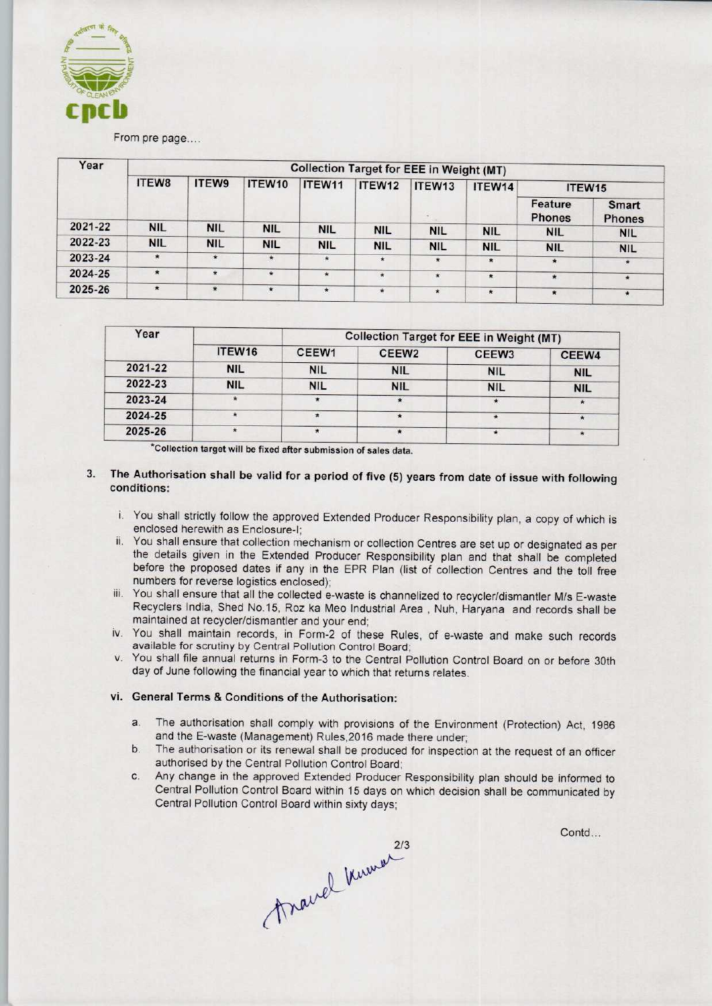

#### From pre page....

| Year    | <b>Collection Target for EEE in Weight (MT)</b> |            |            |            |            |            |            |                          |                        |  |
|---------|-------------------------------------------------|------------|------------|------------|------------|------------|------------|--------------------------|------------------------|--|
|         | ITEW8                                           | ITEW9      | ITEW10     | ITEW11     | ITEW12     | ITEW13     | ITEW14     | ITEW15                   |                        |  |
|         |                                                 |            |            |            |            |            |            | Feature<br><b>Phones</b> | Smart<br><b>Phones</b> |  |
| 2021-22 | <b>NIL</b>                                      | <b>NIL</b> | <b>NIL</b> | <b>NIL</b> | <b>NIL</b> | <b>NIL</b> | <b>NIL</b> | <b>NIL</b>               | <b>NIL</b>             |  |
| 2022-23 | <b>NIL</b>                                      | <b>NIL</b> | <b>NIL</b> | <b>NIL</b> | <b>NIL</b> | <b>NIL</b> | <b>NIL</b> | <b>NIL</b>               | <b>NIL</b>             |  |
| 2023-24 | $\star$                                         | $\star$    | $\star$    | $\star$    | $\star$    | $\star$    | $\star$    | $\star$                  | $\star$                |  |
| 2024-25 | $\star$                                         | $\star$    | $\star$    | $\star$    | $\star$    | $\star$    | $\star$    | $\star$                  | $\star$                |  |
| 2025-26 | $\star$                                         | $\star$    | $\star$    | $\star$    | $\star$    | $\star$    | $\star$    | $\star$                  | $\ast$                 |  |

| Year    |            | <b>Collection Target for EEE in Weight (MT)</b> |                   |                   |            |  |  |
|---------|------------|-------------------------------------------------|-------------------|-------------------|------------|--|--|
|         | ITEW16     | CEEW <sub>1</sub>                               | CEEW <sub>2</sub> | CEEW <sub>3</sub> | CEEW4      |  |  |
| 2021-22 | <b>NIL</b> | <b>NIL</b>                                      | <b>NIL</b>        | <b>NIL</b>        | <b>NIL</b> |  |  |
| 2022-23 | <b>NIL</b> | <b>NIL</b>                                      | <b>NIL</b>        | <b>NIL</b>        | <b>NIL</b> |  |  |
| 2023-24 |            |                                                 |                   |                   | $\star$    |  |  |
| 2024-25 | $\star$    |                                                 | $\star$           |                   |            |  |  |
| 2025-26 | $\cdot$    |                                                 |                   |                   |            |  |  |

'Collection target will be fixed aftersubmission of sales data.

#### 3. The Authorisation shall be valid for a period of five (5) years from date of issue with following conditions:

- i. You shall strictly follow the approved Extended Producer Responsibility plan, a copy of which is enclosed herewith as Enclosure-I;
- ii. You shall ensure that collection mechanism or collection Centres are set up or designated as per the details given in the Extended Producer Responsibility plan and that shall be completed before the proposed dates if any in the EPR Plan (list of collection Centres and the toll free numbers for reverse logistics enclosed);
- iii. You shall ensure that all the collected e-waste is channelized to recycler/dismantler M/s E-waste Recyclers India, Shed No.15, Roz ka Meo Industrial Area , Nuh, Haryana and records shall be maintained at recycler/dismantler and your end;
- iv. You shall maintain records, in Form-2 of these Rules, of e-waste and make such records available for scrutiny by Central Pollution Control Board;
- v. You shall file annual returns in Form-3 to the Central Pollution Control Board on or before 30th day of June following the financial year to which that returns relates.

### vi. General Terms & Conditions of the Authorisation:

- a. The authorisation shall comply with provisions of the Environment (Protection) Act, 1986 and the E-waste (Management) Rules,2016 made there under;
- b.The authorisation or its renewal shall be produced for inspection at the request of an officer authorised by the Central Pollution Control Board;
- c.Any change in the approved Extended Producer Responsibility plan should be informed to Central Pollution Control Board within 15 days on which decision shall be communicated by Central Pollution Control Board within sixty days;

Contd...

France Knumer 213